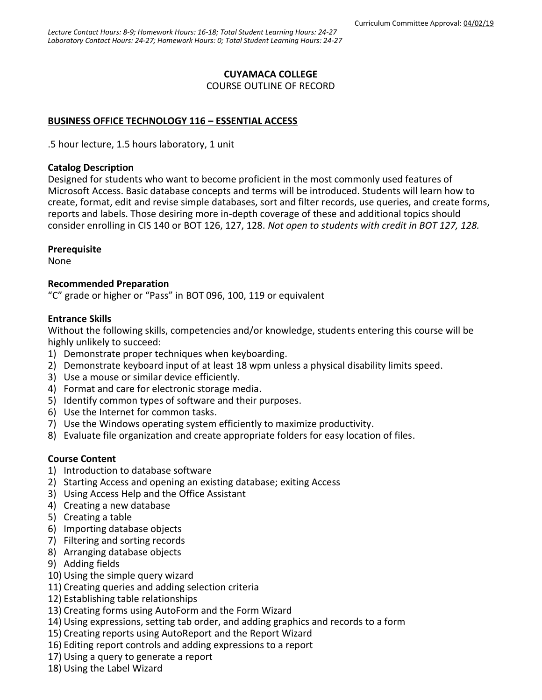## **CUYAMACA COLLEGE**

COURSE OUTLINE OF RECORD

## **BUSINESS OFFICE TECHNOLOGY 116 – ESSENTIAL ACCESS**

.5 hour lecture, 1.5 hours laboratory, 1 unit

#### **Catalog Description**

Designed for students who want to become proficient in the most commonly used features of Microsoft Access. Basic database concepts and terms will be introduced. Students will learn how to create, format, edit and revise simple databases, sort and filter records, use queries, and create forms, reports and labels. Those desiring more in-depth coverage of these and additional topics should consider enrolling in CIS 140 or BOT 126, 127, 128. *Not open to students with credit in BOT 127, 128.*

## **Prerequisite**

None

## **Recommended Preparation**

"C" grade or higher or "Pass" in BOT 096, 100, 119 or equivalent

# **Entrance Skills**

Without the following skills, competencies and/or knowledge, students entering this course will be highly unlikely to succeed:

- 1) Demonstrate proper techniques when keyboarding.
- 2) Demonstrate keyboard input of at least 18 wpm unless a physical disability limits speed.
- 3) Use a mouse or similar device efficiently.
- 4) Format and care for electronic storage media.
- 5) Identify common types of software and their purposes.
- 6) Use the Internet for common tasks.
- 7) Use the Windows operating system efficiently to maximize productivity.
- 8) Evaluate file organization and create appropriate folders for easy location of files.

## **Course Content**

- 1) Introduction to database software
- 2) Starting Access and opening an existing database; exiting Access
- 3) Using Access Help and the Office Assistant
- 4) Creating a new database
- 5) Creating a table
- 6) Importing database objects
- 7) Filtering and sorting records
- 8) Arranging database objects
- 9) Adding fields
- 10) Using the simple query wizard
- 11) Creating queries and adding selection criteria
- 12) Establishing table relationships
- 13) Creating forms using AutoForm and the Form Wizard
- 14) Using expressions, setting tab order, and adding graphics and records to a form
- 15) Creating reports using AutoReport and the Report Wizard
- 16) Editing report controls and adding expressions to a report
- 17) Using a query to generate a report
- 18) Using the Label Wizard